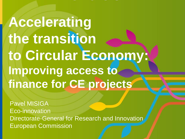**Accelerating the transition to Circular Economy: Improving access to finance for CE projects**

Pavel MISIGA Eco-innovation **Directorate-General for Research and Innovation** European Commission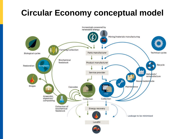### **Circular Economy conceptual model**

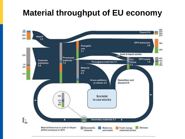#### **Material throughput of EU economy**

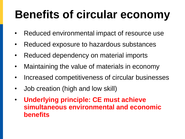# **Benefits of circular economy**

- Reduced environmental impact of resource use
- Reduced exposure to hazardous substances
- Reduced dependency on material imports
- Maintaining the value of materials in economy
- Increased competitiveness of circular businesses
- Job creation (high and low skill)
- **Underlying principle: CE must achieve simultaneous environmental and economic benefits**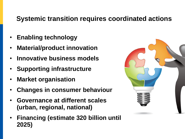#### **Systemic transition requires coordinated actions**

- **Enabling technology**
- **Material/product innovation**
- **Innovative business models**
- **Supporting infrastructure**
- **Market organisation**
- **Changes in consumer behaviour**
- **Governance at different scales (urban, regional, national)**
- **Financing (estimate 320 billion until 2025)**

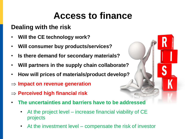### **Access to finance**

#### **Dealing with the risk**

- **Will the CE technology work?**
- **Will consumer buy products/services?**
- **Is there demand for secondary materials?**
- **Will partners in the supply chain collaborate?**
- **How will prices of materials/product develop?**
- **Impact on revenue generation**
- **Perceived high financial risk**
- **The uncertainties and barriers have to be addressed**
	- At the project level increase financial viability of CE projects
	- At the investment level compensate the risk of investor

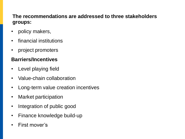#### **The recommendations are addressed to three stakeholders groups:**

- policy makers,
- financial institutions
- project promoters

#### **Barriers/Incentives**

- Level playing field
- Value-chain collaboration
- Long-term value creation incentives
- Market participation
- Integration of public good
- Finance knowledge build-up
- First mover's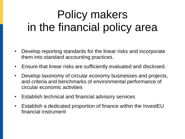# Policy makers in the financial policy area

- Develop reporting standards for the linear risks and incorporate them into standard accounting practices.
- Ensure that linear risks are sufficiently evaluated and disclosed.
- Develop taxonomy of circular economy businesses and projects, and criteria and benchmarks of environmental performance of circular economic activities
- Establish technical and financial advisory services
- Establish a dedicated proportion of finance within the InvestEU financial instrument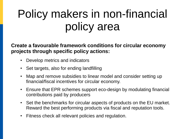# Policy makers in non-financial policy area

**Create a favourable framework conditions for circular economy projects through specific policy actions:**

- Develop metrics and indicators
- Set targets, also for ending landfilling
- Map and remove subsidies to linear model and consider setting up financial/fiscal incentives for circular economy.
- Ensure that EPR schemes support eco-design by modulating financial contributions paid by producers
- Set the benchmarks for circular aspects of products on the EU market. Reward the best performing products via fiscal and reputation tools.
- Fitness check all relevant policies and regulation.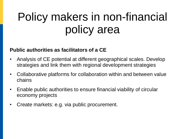# Policy makers in non-financial policy area

#### **Public authorities as facilitators of a CE**

- Analysis of CE potential at different geographical scales. Develop strategies and link them with regional development strategies
- Collaborative platforms for collaboration within and between value chains
- Enable public authorities to ensure financial viability of circular economy projects
- Create markets: e.g. via public procurement.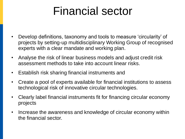### Financial sector

- Develop definitions, taxonomy and tools to measure 'circularity' of projects by setting-up multidisciplinary Working Group of recognised experts with a clear mandate and working plan.
- Analyse the risk of linear business models and adjust credit risk assessment methods to take into account linear risks.
- Establish risk sharing financial instruments and
- Create a pool of experts available for financial institutions to assess technological risk of innovative circular technologies.
- Clearly label financial instruments fit for financing circular economy projects
- Increase the awareness and knowledge of circular economy within the financial sector.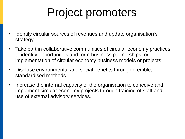# Project promoters

- Identify circular sources of revenues and update organisation's strategy
- Take part in collaborative communities of circular economy practices to identify opportunities and form business partnerships for implementation of circular economy business models or projects.
- Disclose environmental and social benefits through credible, standardised methods.
- Increase the internal capacity of the organisation to conceive and implement circular economy projects through training of staff and use of external advisory services.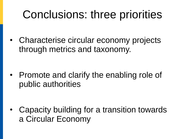## Conclusions: three priorities

• Characterise circular economy projects through metrics and taxonomy.

• Promote and clarify the enabling role of public authorities

• Capacity building for a transition towards a Circular Economy